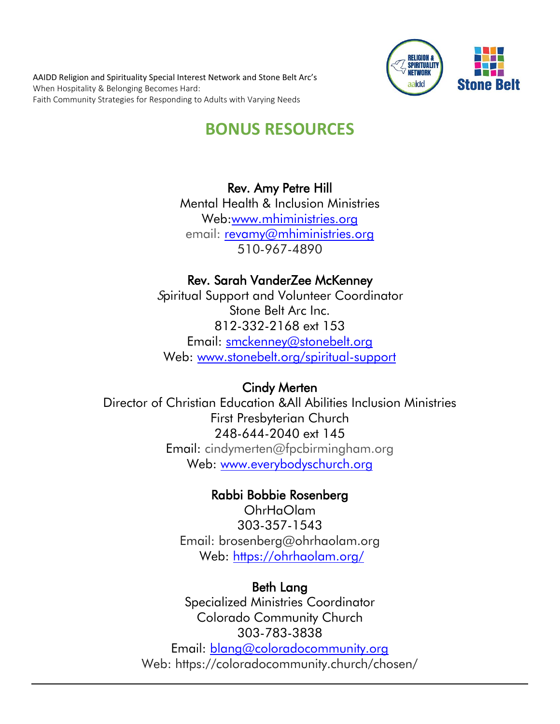AAIDD Religion and Spirituality Special Interest Network and Stone Belt Arc's When Hospitality & Belonging Becomes Hard: Faith Community Strategies for Responding to Adults with Varying Needs



# **BONUS RESOURCES**

### Rev. Amy Petre Hill

Mental Health & Inclusion Ministries Web[:www.mhiministries.org](http://www.mhiministries.org/) email: [revamy@mhiministries.org](mailto:revamy@mhiministries.org) 510-967-4890

### Rev. Sarah VanderZee McKenney

Spiritual Support and Volunteer Coordinator Stone Belt Arc Inc. 812-332-2168 ext 153 Email: [smckenney@stonebelt.org](mailto:smckenney@stonebelt.org) Web: [www.stonebelt.org/spiritual-support](http://www.stonebelt.org/spiritual-support)

### Cindy Merten

Director of Christian Education &All Abilities Inclusion Ministries First Presbyterian Church 248-644-2040 ext 145 Email: cindymerten@fpcbirmingham.org Web: [www.everybodyschurch.org](http://www.everybodyschurch.org/)

### Rabbi Bobbie Rosenberg

OhrHaOlam 303-357-1543 Email: brosenberg@ohrhaolam.org Web:<https://ohrhaolam.org/>

#### Beth Lang

Specialized Ministries Coordinator Colorado Community Church 303-783-3838 Email: [blang@coloradocommunity.org](mailto:blang@coloradocommunity.org) Web: https://coloradocommunity.church/chosen/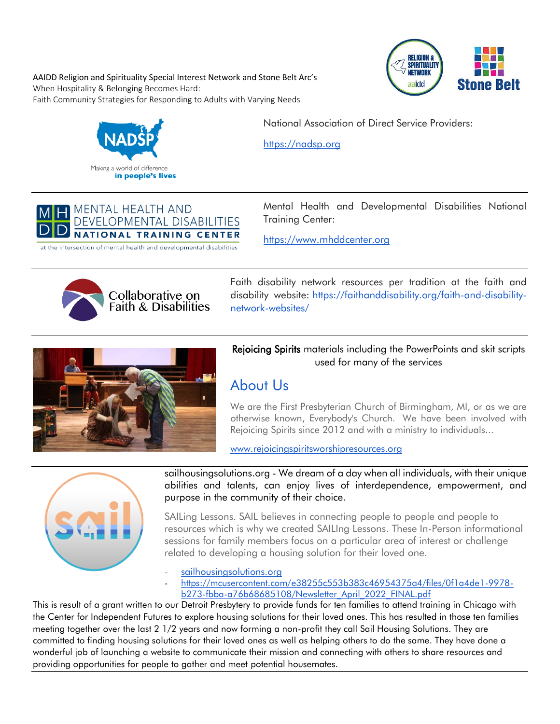AAIDD Religion and Spirituality Special Interest Network and Stone Belt Arc's When Hospitality & Belonging Becomes Hard: Faith Community Strategies for Responding to Adults with Varying Needs



National Association of Direct Service Providers:

[https://nadsp.org](https://nadsp.org/)

#### **MENTAL HEALTH AND** DEVELOPMENTAL DISABILITIES **NATIONAL TRAINING CENTER**

at the intersection of mental health and developmental disabilities

Mental Health and Developmental Disabilities National Training Center:

[https://www.mhddcenter.org](https://www.mhddcenter.org/)



Faith disability network resources per tradition at the faith and disability website: [https://faithanddisability.org/faith-and-disability](https://faithanddisability.org/faith-and-disability-network-websites/)[network-websites/](https://faithanddisability.org/faith-and-disability-network-websites/)



Rejoicing Spirits materials including the PowerPoints and skit scripts used for many of the services

## [About Us](http://www.rejoicingspiritsworshipresources.org/about-us.html)

We are the First Presbyterian Church of Birmingham, MI, or as we are otherwise known, Everybody's Church. We have been involved with Rejoicing Spirits since 2012 and with a ministry to individuals...

[www.rejoicingspiritsworshipresources.org](http://www.rejoicingspiritsworshipresources.org/)



sailhousingsolutions.org - [We dream of a day when all individuals, with their unique](https://sailhousingsolutions.org/)  [abilities and talents, can enjoy lives of interdependence, empowerment, and](https://sailhousingsolutions.org/)  [purpose in the community of their choice.](https://sailhousingsolutions.org/)

SAILing Lessons. SAIL believes in connecting people to people and people to resources which is why we created SAILIng Lessons. These In-Person informational sessions for family members focus on a particular area of interest or challenge related to developing a housing solution for their loved one.

[sailhousingsolutions.org](http://sailhousingsolutions.org/)

- [https://mcusercontent.com/e38255c553b383c46954375a4/files/0f1a4de1-9978](https://mcusercontent.com/e38255c553b383c46954375a4/files/0f1a4de1-9978-b273-fbba-a76b68685108/Newsletter_April_2022_FINAL.pdf) [b273-fbba-a76b68685108/Newsletter\\_April\\_2022\\_FINAL.pdf](https://mcusercontent.com/e38255c553b383c46954375a4/files/0f1a4de1-9978-b273-fbba-a76b68685108/Newsletter_April_2022_FINAL.pdf)

This is result of a grant written to our Detroit Presbytery to provide funds for ten families to attend training in Chicago with the Center for Independent Futures to explore housing solutions for their loved ones. This has resulted in those ten families meeting together over the last 2 1/2 years and now forming a non-profit they call Sail Housing Solutions. They are committed to finding housing solutions for their loved ones as well as helping others to do the same. They have done a wonderful job of launching a website to communicate their mission and connecting with others to share resources and providing opportunities for people to gather and meet potential housemates.